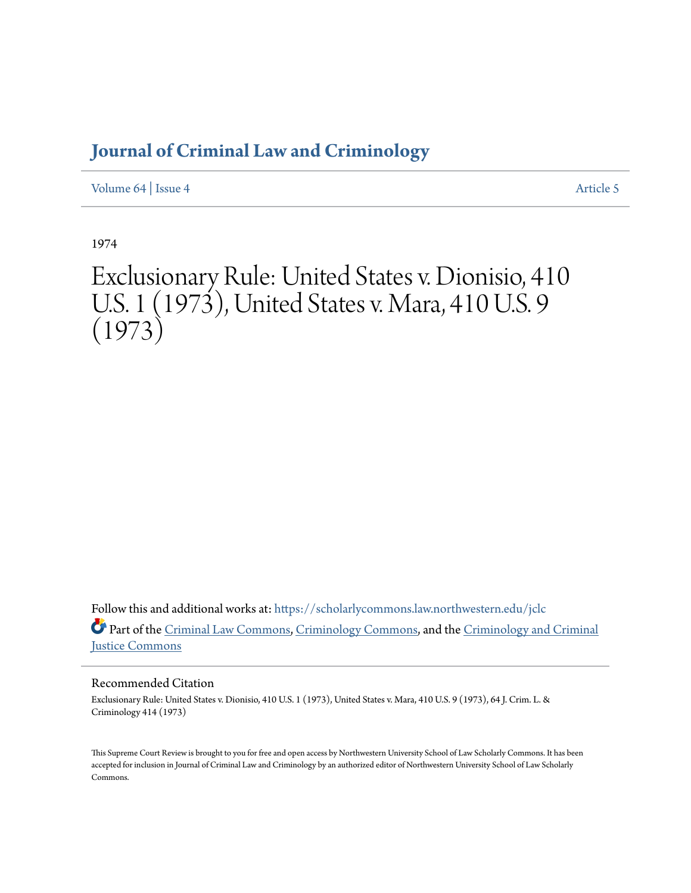## **[Journal of Criminal Law and Criminology](https://scholarlycommons.law.northwestern.edu/jclc?utm_source=scholarlycommons.law.northwestern.edu%2Fjclc%2Fvol64%2Fiss4%2F5&utm_medium=PDF&utm_campaign=PDFCoverPages)**

[Volume 64](https://scholarlycommons.law.northwestern.edu/jclc/vol64?utm_source=scholarlycommons.law.northwestern.edu%2Fjclc%2Fvol64%2Fiss4%2F5&utm_medium=PDF&utm_campaign=PDFCoverPages) | [Issue 4](https://scholarlycommons.law.northwestern.edu/jclc/vol64/iss4?utm_source=scholarlycommons.law.northwestern.edu%2Fjclc%2Fvol64%2Fiss4%2F5&utm_medium=PDF&utm_campaign=PDFCoverPages) [Article 5](https://scholarlycommons.law.northwestern.edu/jclc/vol64/iss4/5?utm_source=scholarlycommons.law.northwestern.edu%2Fjclc%2Fvol64%2Fiss4%2F5&utm_medium=PDF&utm_campaign=PDFCoverPages)

1974

# Exclusionary Rule: United States v. Dionisio, 410 U.S. 1 (1973), United States v. Mara, 410 U.S. 9 (1973)

Follow this and additional works at: [https://scholarlycommons.law.northwestern.edu/jclc](https://scholarlycommons.law.northwestern.edu/jclc?utm_source=scholarlycommons.law.northwestern.edu%2Fjclc%2Fvol64%2Fiss4%2F5&utm_medium=PDF&utm_campaign=PDFCoverPages) Part of the [Criminal Law Commons](http://network.bepress.com/hgg/discipline/912?utm_source=scholarlycommons.law.northwestern.edu%2Fjclc%2Fvol64%2Fiss4%2F5&utm_medium=PDF&utm_campaign=PDFCoverPages), [Criminology Commons](http://network.bepress.com/hgg/discipline/417?utm_source=scholarlycommons.law.northwestern.edu%2Fjclc%2Fvol64%2Fiss4%2F5&utm_medium=PDF&utm_campaign=PDFCoverPages), and the [Criminology and Criminal](http://network.bepress.com/hgg/discipline/367?utm_source=scholarlycommons.law.northwestern.edu%2Fjclc%2Fvol64%2Fiss4%2F5&utm_medium=PDF&utm_campaign=PDFCoverPages) [Justice Commons](http://network.bepress.com/hgg/discipline/367?utm_source=scholarlycommons.law.northwestern.edu%2Fjclc%2Fvol64%2Fiss4%2F5&utm_medium=PDF&utm_campaign=PDFCoverPages)

### Recommended Citation

Exclusionary Rule: United States v. Dionisio, 410 U.S. 1 (1973), United States v. Mara, 410 U.S. 9 (1973), 64 J. Crim. L. & Criminology 414 (1973)

This Supreme Court Review is brought to you for free and open access by Northwestern University School of Law Scholarly Commons. It has been accepted for inclusion in Journal of Criminal Law and Criminology by an authorized editor of Northwestern University School of Law Scholarly Commons.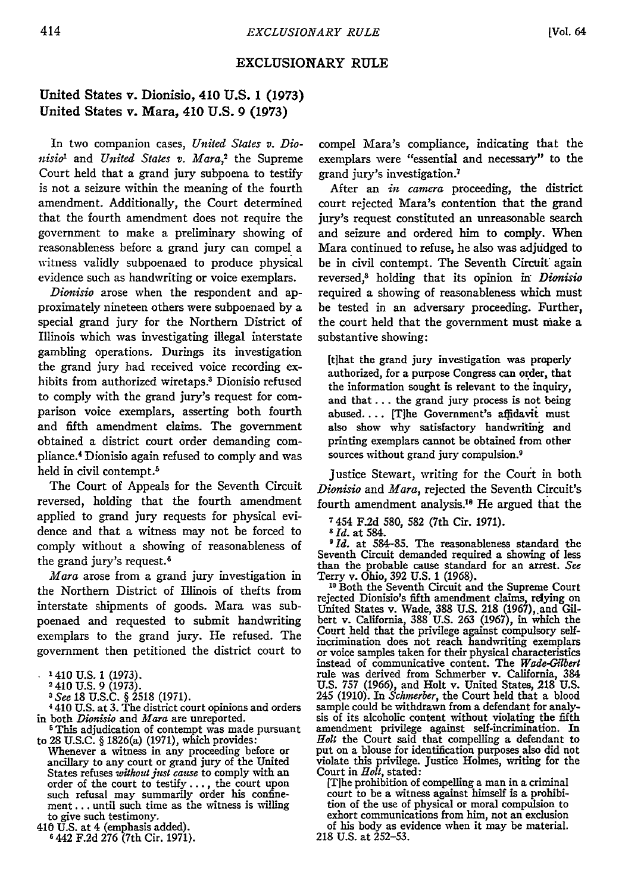#### EXCLUSIONARY **RULE**

#### United States v. Dionisio, 410 **U.S. 1 (1973)** United States v. Mara, 410 **U.S. 9 (1973)**

In two companion cases, *United States v. Dionisio'* and *United States v. Mara,2* the Supreme Court held that a grand jury subpoena to testify is not a seizure within the meaning of the fourth amendment. Additionally, the Court determined that the fourth amendment does not require the government to make a preliminary showing of reasonableness before a grand jury can compel a witness validly subpoenaed to produce physical evidence such as handwriting or voice exemplars.

*Dionisio* arose when the respondent and approximately nineteen others were subpoenaed by a special grand jury for the Northern District of Illinois which was investigating illegal interstate gambling operations. Durings its investigation the grand jury had received voice recording exhibits from authorized wiretaps.3 Dionisio refused to comply with the grand jury's request for comparison voice exemplars, asserting both fourth and fifth amendment claims. The government obtained a district court order demanding compliance. 4 Dionisio again refused to comply and was held in civil contempt.<sup>5</sup>

The Court of Appeals for the Seventh Circuit reversed, holding that the fourth amendment applied to grand jury requests for physical evidence and that a witness may not be forced to comply without a showing of reasonableness of the grand jury's request.<sup>6</sup>

*Mara* arose from a grand jury investigation in the Northern District of Illinois of thefts from interstate shipments of goods. Mara was subpoenaed and requested to submit handwriting exemplars to the grand jury. He refused. The government then petitioned the district court to

*<sup>3</sup>See* 18 U.S.C. § 2518 (1971). 1410 U.S. at 3. The district court opinions and orders

in both *Dionisio* and *Mara* are unreported.<br><sup>5</sup> This adjudication of contempt was made pursuant to 28 U.S.C. § 1826(a) (1971), which provides:

Whenever a witness in any proceeding before or ancillary to any court or grand jury of the United States refuses *without just cause* to comply with an order of the court to testify..., the court upon such refusal may summarily order his confinement **...** until such time as the witness is willing

compel Mara's compliance, indicating that the exemplars were "essential and necessary" to the grand jury's investigation.7

After an *in camera* proceeding, the district court rejected Mara's contention that the grand jury's request constituted an unreasonable search and seizure and ordered him to comply. When Mara continued to refuse, he also was adjudged to be in civil contempt. The Seventh Circuit again reversed," holding that its opinion in" *Dionisio* required a showing of reasonableness which must be tested in an adversary proceeding. Further, the court held that the government must make a substantive showing:

(tihat the grand jury investigation was properly authorized, for a purpose Congress can order, that the information sought is relevant to the inquiry, and that **...** the grand jury process is not being abused.... [T]he Government's affidavit must also show why satisfactory handwriting and printing exemplars cannot be obtained from other sources without grand jury compulsion.<sup>9</sup>

Justice Stewart, writing for the Court in both *Dionisio* and *Mara,* rejected the Seventh Circuit's fourth amendment analysis.I8 He argued that the

**<sup>7</sup>**454 F.2d 580, **582** (7th Cir. 1971). *<sup>5</sup> Id.* at 584. *9 Id.* at 584-85. The reasonableness standard the Seventh Circuit demanded required a showing of less than the probable cause standard for an arrest. *See* Terry v. Ohio, 392 U.S. 1 (1968).<br><sup>10</sup> Both the Seventh Circuit and the Supreme Court

rejected Dionisio's fifth amendment claims, relying on United States v. Wade, 388 U.S. 218 (1967), and Gil-<br>bert v. California, 388 U.S. 263 (1967), in which the Court held that the privilege against compulsory selfor voice samples taken for their physical characteristics instead of communicative content. The *Wade-Gilbert* rule was derived from Schmerber v. California, 384 U.S. 757 (1966), and Holt v. United States, 218 U.S. 245 (1910). In *Schrnerber,* the Court held that a blood sample could be withdrawn from a defendant for analy-<br>sis of its alcoholic content without violating the fifth amendment privilege against self-incrimination. In *Holt* the Court said that compelling a defendant to put on a blouse for identification purposes also did not violate this privilege. Justice Holmes, writing for the Court in *Holt,* stated:

[Tihe prohibition of compelling a man in a criminal court to be a witness against himself is a prohibi- tion of the use of physical or moral compulsion to exhort communications from him, not an exclusion of his body as evidence when it may be material. 218 U.S. at 252-53.

<sup>&</sup>lt;sup>1</sup> 410 U.S. 1 (1973).<br><sup>2</sup> 410 U.S. 9 (1973).

to give such testimony. **<sup>410</sup>**U.S. at 4 (emphasis added). **<sup>6</sup>**442 F.2d 276 (7th Cir. 1971).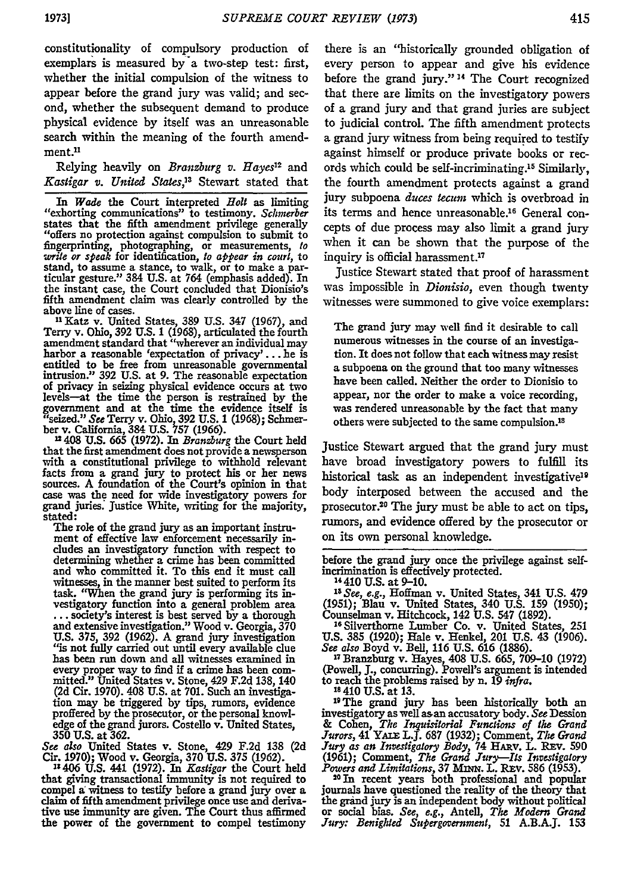constitutionality of compulsory production of exemplars is measured by a two-step test: first, whether the initial compulsion of the witness to appear before the grand jury was valid; and second, whether the subsequent demand to produce physical evidence **by** itself was an unreasonable search within the meaning of the fourth amendment.<sup>11</sup>

Relying heavily on *Branzburg v. Hayes"* and *Kastigar v. United States,"* Stewart stated that

In *Wade* the Court interpreted *Holt* as limiting "exhorting communications" to testimony. *Schmerber* states that the fifth amendment privilege generally "offers no protection against compulsion to submit to fingerprinting, photographing, or measurements, *to write or speak* for identification, *to appear in court,* to stand, to assume a stance, to walk, or to make a par- ticular gesture." 384 **U.S.** at 764 (emphasis added). In the instant case, the Court concluded that Dionisio's fifth amendment claim was clearly controlled **by** the above line of cases. "Katz v. United States, **389 U.S.** 347 (1967), and

Terry v. Ohio, **392 U.S.** 1 **(1968),** articulated the fourth amendment standard that "wherever an individual may harbor a reasonable 'expectation of privacy'... he is harbor a reasonable 'expectation of privacy'... he is entitled to be free from unreasonable governmental intrusion." **392 U.S. at 9.** The reasonable expectation of privacy in seizing physical evidence occurs at two levels-at the time the person is restrained by the government and at the time the evidence itself is<br>"seized." See Terry v. Ohio, 392 U.S. 1 (1968); Schmer-<br>ber v. California, 384 U.S. 757 (1966).<br>"408 U.S. 665 (1972). In Branzburg the Court held

that the first amendment does not provide a newsperson with a constitutional privilege to withhold relevant with a constitutional privilege to withhold relevant facts from a grand jury to protect his or her news sources. A foundation of the Court's opinion in that case was the need for wide investigatory powers for grand juries. Justice White, writing for the majority, stated:

The role of the grand jury as an important instrument of effective law enforcement necessarily includes an investigatory function with respect to determining whether a crime has been committed and who committed it. To this end it must call witnesses, in the manner best suited to perform its task. "When the grand jury is performing its investigatory function into a general problem area **..** society's interest is best served **by** a thorough and extensive investigation." Wood v. Georgia, 370 **U.S. 375, 392** (1962). A grand jury investigation "is not fully carried out until every available clue has been run down and all witnesses examined in every proper way to find if a crime has been com- mitted." United States v. Stone, 429 F.2d 138, 140 (2d Cir. 1970). 408 U.S. at 701. Such an investiga- tion may be triggered **by** tips, rumors, evidence proffered by the prosecutor, or the personal knowledge of the grand jurors. Costello v. United States, **350 U.S.** at **362.**

*See also* United States v. Stone, 429 **F.2d 138 (2d** Cir. **1970);** Wood v. Georgia, **370 U.S. 375 (1962).**

**1:406 U.S.** 441 **(1972).** In *Kastigar* the Court held that giving transactional immunity is not required to compel a witness to testify before a grand jury over a claim of fifth amendment privilege once use and derivaclaim of fifth amendment privilege once use and derivative use immunity are given. The Court thus affirmed the power of the government to compel testimony

there is an "historically grounded obligation of every person to appear and give his evidence before the grand jury." **14** The Court recognized that there are limits on the investigatory powers of a grand jury and that grand juries are subject to judicial control. The fifth amendment protects a grand jury witness from being required to testify against himself or produce private books or records which could be self-incriminating. 15 Similarly, the fourth amendment protects against a grand jury subpoena *duces tecum* which is overbroad in its terms and hence unreasonable.16 General concepts of due process may also limit a grand jury when it can be shown that the purpose of the inquiry is official harassment.<sup>17</sup>

Justice Stewart stated that proof of harassment was impossible in *Dionisio,* even though twenty witnesses were summoned to give voice exemplars:

The grand jury may well find it desirable to call numerous witnesses in the course of an investigation. It does not follow that each witness may resist a subpoena on the ground that too many witnesses have been called. Neither the order to Dionisio to appear, nor the order to make a voice recording, was rendered unreasonable **by** the fact that many others were subjected to the same compulsion.<sup>18</sup>

Justice Stewart argued that the grand jury must have broad investigatory powers to fulfill its historical task as an independent investigative<sup>19</sup> body interposed between the accused and the prosecutor.<sup>20</sup> The jury must be able to act on tips, rumors, and evidence offered **by** the prosecutor or on its own personal knowledge.

before the grand jury once the privilege against selfincrimination is effectively protected. 4 410 **U.S.** at **9-10.**

*Is See, e.g.,* Hoffman v. United States, 341 U.S. 479 (1951); Blau v. United States, 340 U.S. 159 (1950); Counselman v. Hitchcock, 142 **U.S.** 547 **(1892). 2 <sup>6</sup>**Silverthome Lumber Co. v. United States, 251

U.S. 385 (1920); Hale v. Henkel, 201 U.S. 43 (1906). *See also* Boyd v. Bell, **116** U.S. 616 **(1886).**

**<sup>17</sup>**Branzburg v. Hayes, 408 U.S. 665, 709-10 (1972) (Powell, **J.,** concurring). Powell's argument is intended to reach the problems raised by n. 19 *infra.*

**Is** 410 **U.S.** at **13.**

**1 <sup>9</sup> The** grand jury has been historically both an investigatory as well asan accusatory body. *See* Dession & Cohen, The Inquisitorial Functions of the Grand<br>Jurors, 41 YALE L.J. 687 (1932); Comment, The Grand<br>Jury as an Investigatory Body, 74 HARV. L. REV. 590<br>(1961); Comment, The Grand Jury—Its Investigatory<br>Powers and Limita

the grand jury is an independent body without political or social bias. *See, e.g.,* Antel, *The Modern Grand Jury: Benighted Supergovernment,* 51 **A.B.A.J.** 153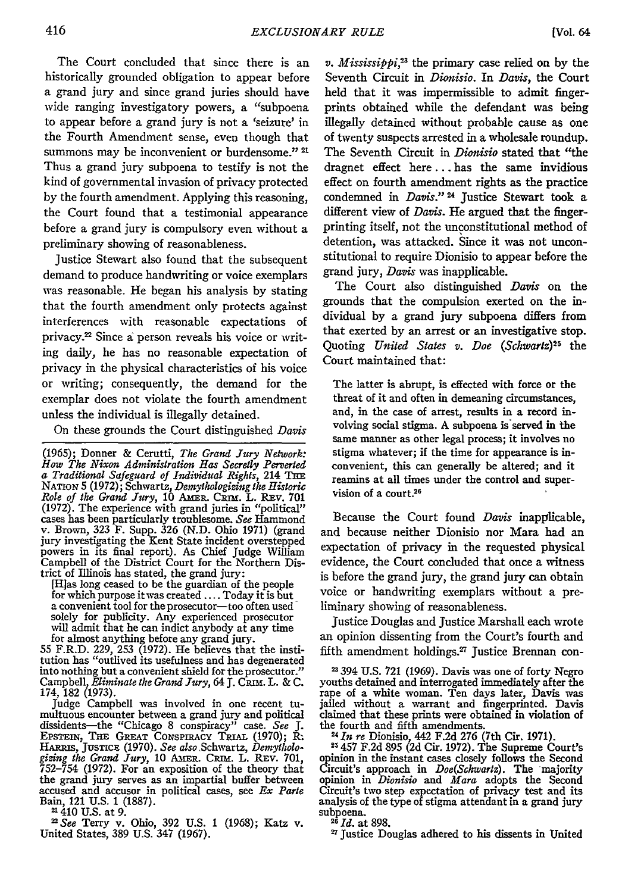The Court concluded that since there is an historically grounded obligation to appear before a grand jury and since grand juries should have wide ranging investigatory powers, a "subpoena to appear before a grand jury is not a 'seizure' in the Fourth Amendment sense, even though that summons may be inconvenient or burdensome."<sup>21</sup> Thus a grand jury subpoena to testify is not the kind of governmental invasion of privacy protected by the fourth amendment. Applying this reasoning, the Court found that a testimonial appearance before a grand jury is compulsory even without a preliminary showing of reasonableness.

Justice Stewart also found that the subsequent demand to produce handwriting or voice exemplars was reasonable. He began his analysis by stating that the fourth amendment only protects against interferences with reasonable expectations of privacy.22 Since a person reveals his voice or writing daily, he has no reasonable expectation of privacy in the physical characteristics of his voice or writing; consequently, the demand for the exemplar does not violate the fourth amendment unless the individual is illegally detained.

On these grounds the Court distinguished *Davis*

(1965); Donner & Cerutti, *The Grand Jury Network:* How The Nixon Administration Has Secretly Perverted<br>a Traditional Safeguard of Individual Rights, 214 THE<br>NATION 5 (1972); Schwartz, Demythologizing the Historic<br>Role of the Grand Jury, 10 AMER. CRIM. L. REV. 701 (1972). The experience with grand juries in "political" cases has been particularly troublesome. *See* Hammond v. Brown, 323 F. Supp. 326 (N.D. Ohio 1971) (grand jury investigating the Kent State incident overstepped powers in its final report). As Chief Judge William Campbell of the District Court for the Northern District of Illinois has stated, the grand jury: [H]as long ceased to be the guardian of the people

for which purpose it was created .... Today it is but a convenient tool for the prosecutor-too often used solely for publicity. Any experienced prosecutor will admit that he can indict anybody at any time

for almost anything before any grand jury. 55 F.R.D. 229, 253 (1972). He believes that the institution has "outlived its usefulness and has degenerated into nothing but a convenient shield for the prosecutor." into nothing but a convenient shield for the prosecutor."<br>Campbell, *Eliminate the Grand Jury*, 64 J. CRIM. L. & C. 174, 182 (1973).

Judge Campbell was involved in one recent tumultuous encounter between a grand jury and political dissidents—the "Chicago 8 conspiracy" case. *See* J.<br>EPSTEIN, THE GREAT CONSPIRACY TRIAL (1970); R. HARnus, JusTicz (1970). *See also* Schwartz, *Demytholo-gizing the Grand Jury,* 10 AmER. Cans. L. Rv. 701, 752-754 (1972). For an exposition of the theory that the grand jury serves as an impartial buffer between accused and accusor in political cases, see *Ex Parte* Bain, 121 U.S. 1 (1887).

21410 U.S. at 9.

<sup>22</sup>*See* Terry v. Ohio, 392 U.S. 1 (1968); Katz v. United States, 389 U.S. 347 (1967).

*v. Mississippi*,<sup>23</sup> the primary case relied on by the Seventh Circuit in *Dionisio.* In *Davis,* the Court held that it was impermissible to admit fingerprints obtained while the defendant was being illegally detained without probable cause as one of twenty suspects arrested in a wholesale roundup. The Seventh Circuit in *Dionisio* stated that "the dragnet effect here.., has the same invidious effect on fourth amendment rights as the practice condemned in *Davis.*"<sup>24</sup> Justice Stewart took a different view of *Davis.* He argued that the fingerprinting itself, not the unconstitutional method of detention, was attacked. Since it was not unconstitutional to require Dionisio to appear before the grand jury, *Davis* was inapplicable.

The Court also distinguished *Davis* on the grounds that the compulsion exerted on the individual by a grand jury subpoena differs from that exerted by an arrest or an investigative stop. Quoting *United States v. Doe (Schwartz*)<sup>25</sup> the Court maintained that:

The latter is abrupt, is effected with force or the threat of it and often in demeaning circumstances, and, in the case of arrest, results in a record involving social stigma. A subpoena is served in the same manner as other legal process; it involves no stigma whatever; if the time for appearance is inconvenient, this can generally be altered; and it reamins at all times under the control and supervision of a court.26

Because the Court found *Davis* inapplicable, and because neither Dionisio nor Mara had an expectation of privacy in the requested physical evidence, the Court concluded that once a witness is before the grand jury, the grand jury can obtain voice or handwriting exemplars without a preliminary showing of reasonableness.

Justice Douglas and Justice Marshall each wrote an opinion dissenting from the Court's fourth and fifth amendment holdings.<sup>27</sup> Justice Brennan con-

**-** 394 U.S. 721 (1969). Davis was one of forty Negro youths detained and interrogated immediately after the rape of a white woman. Ten days later, Davis was jailed without a warrant and fingerprinted. Davis claimed that these prints were obtained in violation of the *24* fourth and fifth amendments. *Tn re* Dionisio, 442 F.2d 276 (7th Cir. 1971).

**<sup>25</sup>**457 F.2d 895 (2d Cir. 1972). The Supreme Court's opinion in the instant cases closely follows the Second Circuit's approach in  $\textit{Doc}(Schwartz)$ . The majority Circuit's approach in *Doe(Schwartz).* The majority opinion in *Dionisio* and *Mara* adopts the Second Circuit's two step expectation of privacy test and its analysis of the type of stigma attendant in a grand jury subpoena. *26 Id.* at **898.**

**<sup>17</sup>**Justice Douglas adhered to his dissents in United